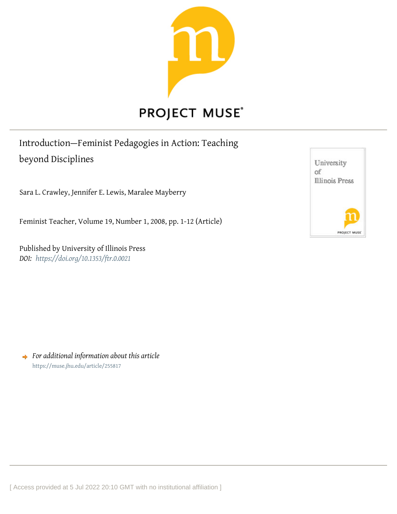

# **PROJECT MUSE®**

Introduction—Feminist Pedagogies in Action: Teaching beyond Disciplines

Sara L. Crawley, Jennifer E. Lewis, Maralee Mayberry

Feminist Teacher, Volume 19, Number 1, 2008, pp. 1-12 (Article)

Published by University of Illinois Press *DOI: <https://doi.org/10.1353/ftr.0.0021>*

University оf **Illinois Press** PROJECT MU

*For additional information about this article* <https://muse.jhu.edu/article/255817>

[ Access provided at 5 Jul 2022 20:10 GMT with no institutional affiliation ]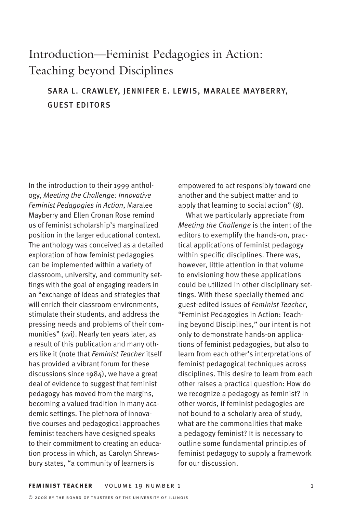# Introduction—Feminist Pedagogies in Action: Teaching beyond Disciplines

# Sara L. Crawley, Jennifer E. Lewis, Maralee Mayberry, Guest Editors

In the introduction to their 1999 anthology, *Meeting the Challenge: Innovative Feminist Pedagogies in Action*, Maralee Mayberry and Ellen Cronan Rose remind us of feminist scholarship's marginalized position in the larger educational context. The anthology was conceived as a detailed exploration of how feminist pedagogies can be implemented within a variety of classroom, university, and community settings with the goal of engaging readers in an "exchange of ideas and strategies that will enrich their classroom environments, stimulate their students, and address the pressing needs and problems of their communities" (xvi). Nearly ten years later, as a result of this publication and many others like it (note that *Feminist Teacher* itself has provided a vibrant forum for these discussions since 1984), we have a great deal of evidence to suggest that feminist pedagogy has moved from the margins, becoming a valued tradition in many academic settings. The plethora of innovative courses and pedagogical approaches feminist teachers have designed speaks to their commitment to creating an education process in which, as Carolyn Shrewsbury states, "a community of learners is

empowered to act responsibly toward one another and the subject matter and to apply that learning to social action" (8).

What we particularly appreciate from *Meeting the Challenge* is the intent of the editors to exemplify the hands-on, practical applications of feminist pedagogy within specific disciplines. There was, however, little attention in that volume to envisioning how these applications could be utilized in other disciplinary settings. With these specially themed and guest-edited issues of *Feminist Teacher*, "Feminist Pedagogies in Action: Teaching beyond Disciplines," our intent is not only to demonstrate hands-on applications of feminist pedagogies, but also to learn from each other's interpretations of feminist pedagogical techniques across disciplines. This desire to learn from each other raises a practical question: How do we recognize a pedagogy as feminist? In other words, if feminist pedagogies are not bound to a scholarly area of study, what are the commonalities that make a pedagogy feminist? It is necessary to outline some fundamental principles of feminist pedagogy to supply a framework for our discussion.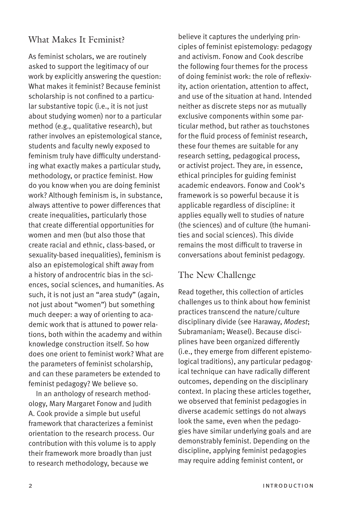# What Makes It Feminist?

As feminist scholars, we are routinely asked to support the legitimacy of our work by explicitly answering the question: What makes it feminist? Because feminist scholarship is not confined to a particular substantive topic (i.e., it is not just about studying women) nor to a particular method (e.g., qualitative research), but rather involves an epistemological stance, students and faculty newly exposed to feminism truly have difficulty understanding what exactly makes a particular study, methodology, or practice feminist. How do you know when you are doing feminist work? Although feminism is, in substance, always attentive to power differences that create inequalities, particularly those that create differential opportunities for women and men (but also those that create racial and ethnic, class-based, or sexuality-based inequalities), feminism is also an epistemological shift away from a history of androcentric bias in the sciences, social sciences, and humanities. As such, it is not just an "area study" (again, not just about "women") but something much deeper: a way of orienting to academic work that is attuned to power relations, both within the academy and within knowledge construction itself. So how does one orient to feminist work? What are the parameters of feminist scholarship, and can these parameters be extended to feminist pedagogy? We believe so.

In an anthology of research methodology, Mary Margaret Fonow and Judith A. Cook provide a simple but useful framework that characterizes a feminist orientation to the research process. Our contribution with this volume is to apply their framework more broadly than just to research methodology, because we

believe it captures the underlying principles of feminist epistemology: pedagogy and activism. Fonow and Cook describe the following four themes for the process of doing feminist work: the role of reflexivity, action orientation, attention to affect, and use of the situation at hand. Intended neither as discrete steps nor as mutually exclusive components within some particular method, but rather as touchstones for the fluid process of feminist research, these four themes are suitable for any research setting, pedagogical process, or activist project. They are, in essence, ethical principles for guiding feminist academic endeavors. Fonow and Cook's framework is so powerful because it is applicable regardless of discipline: it applies equally well to studies of nature (the sciences) and of culture (the humanities and social sciences). This divide remains the most difficult to traverse in conversations about feminist pedagogy.

## The New Challenge

Read together, this collection of articles challenges us to think about how feminist practices transcend the nature/culture disciplinary divide (see Haraway, *Modest*; Subramaniam; Weasel). Because disciplines have been organized differently (i.e., they emerge from different epistemological traditions), any particular pedagogical technique can have radically different outcomes, depending on the disciplinary context. In placing these articles together, we observed that feminist pedagogies in diverse academic settings do not always look the same, even when the pedagogies have similar underlying goals and are demonstrably feminist. Depending on the discipline, applying feminist pedagogies may require adding feminist content, or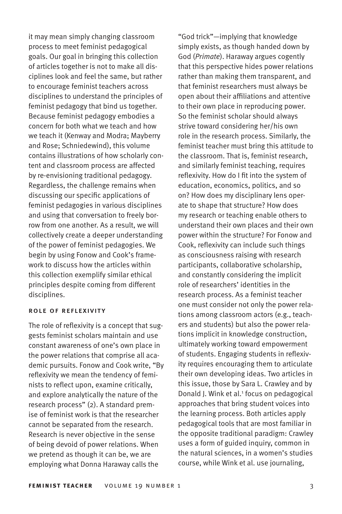it may mean simply changing classroom process to meet feminist pedagogical goals. Our goal in bringing this collection of articles together is not to make all disciplines look and feel the same, but rather to encourage feminist teachers across disciplines to understand the principles of feminist pedagogy that bind us together. Because feminist pedagogy embodies a concern for both what we teach and how we teach it (Kenway and Modra; Mayberry and Rose; Schniedewind), this volume contains illustrations of how scholarly content and classroom process are affected by re-envisioning traditional pedagogy. Regardless, the challenge remains when discussing our specific applications of feminist pedagogies in various disciplines and using that conversation to freely borrow from one another. As a result, we will collectively create a deeper understanding of the power of feminist pedagogies. We begin by using Fonow and Cook's framework to discuss how the articles within this collection exemplify similar ethical principles despite coming from different disciplines.

#### role of reflexivity

The role of reflexivity is a concept that suggests feminist scholars maintain and use constant awareness of one's own place in the power relations that comprise all academic pursuits. Fonow and Cook write, "By reflexivity we mean the tendency of feminists to reflect upon, examine critically, and explore analytically the nature of the research process" (2). A standard premise of feminist work is that the researcher cannot be separated from the research. Research is never objective in the sense of being devoid of power relations. When we pretend as though it can be, we are employing what Donna Haraway calls the

"God trick"—implying that knowledge simply exists, as though handed down by God (*Primate*). Haraway argues cogently that this perspective hides power relations rather than making them transparent, and that feminist researchers must always be open about their affiliations and attentive to their own place in reproducing power. So the feminist scholar should always strive toward considering her/his own role in the research process. Similarly, the feminist teacher must bring this attitude to the classroom. That is, feminist research, and similarly feminist teaching, requires reflexivity. How do I fit into the system of education, economics, politics, and so on? How does my disciplinary lens operate to shape that structure? How does my research or teaching enable others to understand their own places and their own power within the structure? For Fonow and Cook, reflexivity can include such things as consciousness raising with research participants, collaborative scholarship, and constantly considering the implicit role of researchers' identities in the research process. As a feminist teacher one must consider not only the power relations among classroom actors (e.g., teachers and students) but also the power relations implicit in knowledge construction, ultimately working toward empowerment of students. Engaging students in reflexivity requires encouraging them to articulate their own developing ideas. Two articles in this issue, those by Sara L. Crawley and by Donald J. Wink et al.<sup>1</sup> focus on pedagogical approaches that bring student voices into the learning process. Both articles apply pedagogical tools that are most familiar in the opposite traditional paradigm: Crawley uses a form of guided inquiry, common in the natural sciences, in a women's studies course, while Wink et al. use journaling,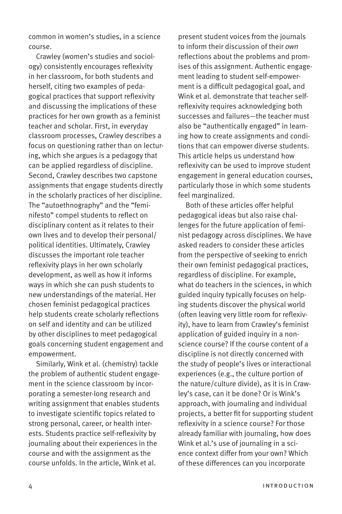common in women's studies, in a science course.

Crawley (women's studies and sociology) consistently encourages reflexivity in her classroom, for both students and herself, citing two examples of pedagogical practices that support reflexivity and discussing the implications of these practices for her own growth as a feminist teacher and scholar. First, in everyday classroom processes, Crawley describes a focus on questioning rather than on lecturing, which she argues is a pedagogy that can be applied regardless of discipline. Second, Crawley describes two capstone assignments that engage students directly in the scholarly practices of her discipline. The "autoethnography" and the "feminifesto" compel students to reflect on disciplinary content as it relates to their own lives and to develop their personal/ political identities. Ultimately, Crawley discusses the important role teacher reflexivity plays in her own scholarly development, as well as how it informs ways in which she can push students to new understandings of the material. Her chosen feminist pedagogical practices help students create scholarly reflections on self and identity and can be utilized by other disciplines to meet pedagogical goals concerning student engagement and empowerment.

Similarly, Wink et al. (chemistry) tackle the problem of authentic student engagement in the science classroom by incorporating a semester-long research and writing assignment that enables students to investigate scientific topics related to strong personal, career, or health interests. Students practice self-reflexivity by journaling about their experiences in the course and with the assignment as the course unfolds. In the article, Wink et al.

present student voices from the journals to inform their discussion of their *own* reflections about the problems and promises of this assignment. Authentic engagement leading to student self-empowerment is a difficult pedagogical goal, and Wink et al. demonstrate that teacher selfreflexivity requires acknowledging both successes and failures—the teacher must also be "authentically engaged" in learning how to create assignments and conditions that can empower diverse students. This article helps us understand how reflexivity can be used to improve student engagement in general education courses, particularly those in which some students feel marginalized.

Both of these articles offer helpful pedagogical ideas but also raise challenges for the future application of feminist pedagogy across disciplines. We have asked readers to consider these articles from the perspective of seeking to enrich their own feminist pedagogical practices, regardless of discipline. For example, what do teachers in the sciences, in which guided inquiry typically focuses on helping students discover the physical world (often leaving very little room for reflexivity), have to learn from Crawley's feminist application of guided inquiry in a nonscience course? If the course content of a discipline is not directly concerned with the study of people's lives or interactional experiences (e.g., the culture portion of the nature/culture divide), as it is in Crawley's case, can it be done? Or is Wink's approach, with journaling and individual projects, a better fit for supporting student reflexivity in a science course? For those already familiar with journaling, how does Wink et al.'s use of journaling in a science context differ from your own? Which of these differences can you incorporate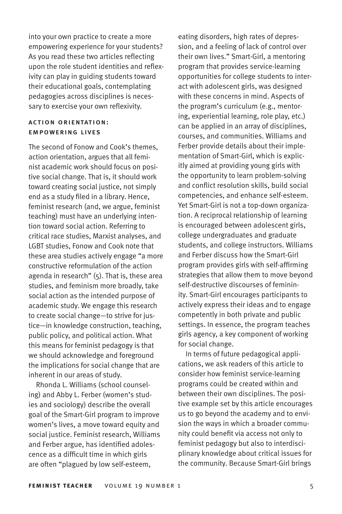into your own practice to create a more empowering experience for your students? As you read these two articles reflecting upon the role student identities and reflexivity can play in guiding students toward their educational goals, contemplating pedagogies across disciplines is necessary to exercise your own reflexivity.

#### action orientation: empowering lives

The second of Fonow and Cook's themes, action orientation, argues that all feminist academic work should focus on positive social change. That is, it should work toward creating social justice, not simply end as a study filed in a library. Hence, feminist research (and, we argue, feminist teaching) must have an underlying intention toward social action. Referring to critical race studies, Marxist analyses, and LGBT studies, Fonow and Cook note that these area studies actively engage "a more constructive reformulation of the action agenda in research" (5). That is, these area studies, and feminism more broadly, take social action as the intended purpose of academic study. We engage this research to create social change—to strive for justice—in knowledge construction, teaching, public policy, and political action. What this means for feminist pedagogy is that we should acknowledge and foreground the implications for social change that are inherent in our areas of study.

Rhonda L. Williams (school counseling) and Abby L. Ferber (women's studies and sociology) describe the overall goal of the Smart-Girl program to improve women's lives, a move toward equity and social justice. Feminist research, Williams and Ferber argue, has identified adolescence as a difficult time in which girls are often "plagued by low self-esteem,

eating disorders, high rates of depression, and a feeling of lack of control over their own lives." Smart-Girl, a mentoring program that provides service-learning opportunities for college students to interact with adolescent girls, was designed with these concerns in mind. Aspects of the program's curriculum (e.g., mentoring, experiential learning, role play, etc.) can be applied in an array of disciplines, courses, and communities. Williams and Ferber provide details about their implementation of Smart-Girl, which is explicitly aimed at providing young girls with the opportunity to learn problem-solving and conflict resolution skills, build social competencies, and enhance self-esteem. Yet Smart-Girl is not a top-down organization. A reciprocal relationship of learning is encouraged between adolescent girls, college undergraduates and graduate students, and college instructors. Williams and Ferber discuss how the Smart-Girl program provides girls with self-affirming strategies that allow them to move beyond self-destructive discourses of femininity. Smart-Girl encourages participants to actively express their ideas and to engage competently in both private and public settings. In essence, the program teaches girls agency, a key component of working for social change.

In terms of future pedagogical applications, we ask readers of this article to consider how feminist service-learning programs could be created within and between their own disciplines. The positive example set by this article encourages us to go beyond the academy and to envision the ways in which a broader community could benefit via access not only to feminist pedagogy but also to interdisciplinary knowledge about critical issues for the community. Because Smart-Girl brings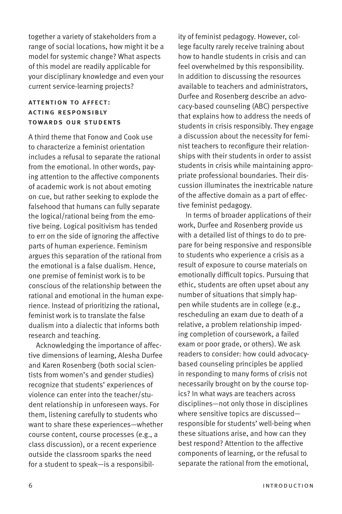together a variety of stakeholders from a range of social locations, how might it be a model for systemic change? What aspects of this model are readily applicable for your disciplinary knowledge and even your current service-learning projects?

#### attention to affect: acting responsibly towards our students

A third theme that Fonow and Cook use to characterize a feminist orientation includes a refusal to separate the rational from the emotional. In other words, paying attention to the affective components of academic work is not about emoting on cue, but rather seeking to explode the falsehood that humans can fully separate the logical/rational being from the emotive being. Logical positivism has tended to err on the side of ignoring the affective parts of human experience. Feminism argues this separation of the rational from the emotional is a false dualism. Hence, one premise of feminist work is to be conscious of the relationship between the rational and emotional in the human experience. Instead of prioritizing the rational, feminist work is to translate the false dualism into a dialectic that informs both research and teaching.

Acknowledging the importance of affective dimensions of learning, Alesha Durfee and Karen Rosenberg (both social scientists from women's and gender studies) recognize that students' experiences of violence can enter into the teacher/student relationship in unforeseen ways. For them, listening carefully to students who want to share these experiences—whether course content, course processes (e.g., a class discussion), or a recent experience outside the classroom sparks the need for a student to speak—is a responsibility of feminist pedagogy. However, college faculty rarely receive training about how to handle students in crisis and can feel overwhelmed by this responsibility. In addition to discussing the resources available to teachers and administrators, Durfee and Rosenberg describe an advocacy-based counseling (ABC) perspective that explains how to address the needs of students in crisis responsibly. They engage a discussion about the necessity for feminist teachers to reconfigure their relationships with their students in order to assist students in crisis while maintaining appropriate professional boundaries. Their discussion illuminates the inextricable nature of the affective domain as a part of effective feminist pedagogy.

In terms of broader applications of their work, Durfee and Rosenberg provide us with a detailed list of things to do to prepare for being responsive and responsible to students who experience a crisis as a result of exposure to course materials on emotionally difficult topics. Pursuing that ethic, students are often upset about any number of situations that simply happen while students are in college (e.g., rescheduling an exam due to death of a relative, a problem relationship impeding completion of coursework, a failed exam or poor grade, or others). We ask readers to consider: how could advocacybased counseling principles be applied in responding to many forms of crisis not necessarily brought on by the course topics? In what ways are teachers across disciplines—not only those in disciplines where sensitive topics are discussed responsible for students' well-being when these situations arise, and how can they best respond? Attention to the affective components of learning, or the refusal to separate the rational from the emotional,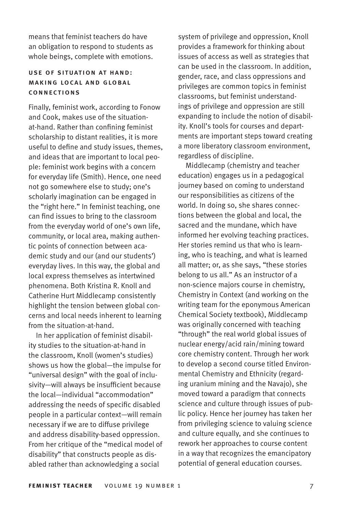means that feminist teachers do have an obligation to respond to students as whole beings, complete with emotions.

#### use of situation at hand: making local and global connections

Finally, feminist work, according to Fonow and Cook, makes use of the situationat-hand. Rather than confining feminist scholarship to distant realities, it is more useful to define and study issues, themes, and ideas that are important to local people: feminist work begins with a concern for everyday life (Smith). Hence, one need not go somewhere else to study; one's scholarly imagination can be engaged in the "right here." In feminist teaching, one can find issues to bring to the classroom from the everyday world of one's own life, community, or local area, making authentic points of connection between academic study and our (and our students') everyday lives. In this way, the global and local express themselves as intertwined phenomena. Both Kristina R. Knoll and Catherine Hurt Middlecamp consistently highlight the tension between global concerns and local needs inherent to learning from the situation-at-hand.

In her application of feminist disability studies to the situation-at-hand in the classroom, Knoll (women's studies) shows us how the global—the impulse for "universal design" with the goal of inclusivity—will always be insufficient because the local—individual "accommodation" addressing the needs of specific disabled people in a particular context—will remain necessary if we are to diffuse privilege and address disability-based oppression. From her critique of the "medical model of disability" that constructs people as disabled rather than acknowledging a social

system of privilege and oppression, Knoll provides a framework for thinking about issues of access as well as strategies that can be used in the classroom. In addition, gender, race, and class oppressions and privileges are common topics in feminist classrooms, but feminist understandings of privilege and oppression are still expanding to include the notion of disability. Knoll's tools for courses and departments are important steps toward creating a more liberatory classroom environment, regardless of discipline.

Middlecamp (chemistry and teacher education) engages us in a pedagogical journey based on coming to understand our responsibilities as citizens of the world. In doing so, she shares connections between the global and local, the sacred and the mundane, which have informed her evolving teaching practices. Her stories remind us that who is learning, who is teaching, and what is learned all matter; or, as she says, "these stories belong to us all." As an instructor of a non-science majors course in chemistry, Chemistry in Context (and working on the writing team for the eponymous American Chemical Society textbook), Middlecamp was originally concerned with teaching "through" the real world global issues of nuclear energy/acid rain/mining toward core chemistry content. Through her work to develop a second course titled Environmental Chemistry and Ethnicity (regarding uranium mining and the Navajo), she moved toward a paradigm that connects science and culture through issues of public policy. Hence her journey has taken her from privileging science to valuing science and culture equally, and she continues to rework her approaches to course content in a way that recognizes the emancipatory potential of general education courses.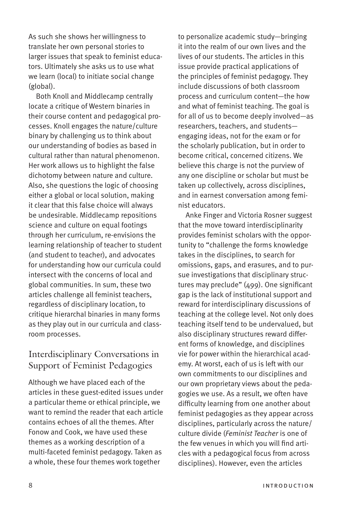As such she shows her willingness to translate her own personal stories to larger issues that speak to feminist educators. Ultimately she asks us to use what we learn (local) to initiate social change (global).

Both Knoll and Middlecamp centrally locate a critique of Western binaries in their course content and pedagogical processes. Knoll engages the nature/culture binary by challenging us to think about our understanding of bodies as based in cultural rather than natural phenomenon. Her work allows us to highlight the false dichotomy between nature and culture. Also, she questions the logic of choosing either a global or local solution, making it clear that this false choice will always be undesirable. Middlecamp repositions science and culture on equal footings through her curriculum, re-envisions the learning relationship of teacher to student (and student to teacher), and advocates for understanding how our curricula could intersect with the concerns of local and global communities. In sum, these two articles challenge all feminist teachers, regardless of disciplinary location, to critique hierarchal binaries in many forms as they play out in our curricula and classroom processes.

## Interdisciplinary Conversations in Support of Feminist Pedagogies

Although we have placed each of the articles in these guest-edited issues under a particular theme or ethical principle, we want to remind the reader that each article contains echoes of all the themes. After Fonow and Cook, we have used these themes as a working description of a multi-faceted feminist pedagogy. Taken as a whole, these four themes work together

to personalize academic study—bringing it into the realm of our own lives and the lives of our students. The articles in this issue provide practical applications of the principles of feminist pedagogy. They include discussions of both classroom process and curriculum content—the how and what of feminist teaching. The goal is for all of us to become deeply involved—as researchers, teachers, and students engaging ideas, not for the exam or for the scholarly publication, but in order to become critical, concerned citizens. We believe this charge is not the purview of any one discipline or scholar but must be taken up collectively, across disciplines, and in earnest conversation among feminist educators.

Anke Finger and Victoria Rosner suggest that the move toward interdisciplinarity provides feminist scholars with the opportunity to "challenge the forms knowledge takes in the disciplines, to search for omissions, gaps, and erasures, and to pursue investigations that disciplinary structures may preclude" (499). One significant gap is the lack of institutional support and reward for interdisciplinary discussions of teaching at the college level. Not only does teaching itself tend to be undervalued, but also disciplinary structures reward different forms of knowledge, and disciplines vie for power within the hierarchical academy. At worst, each of us is left with our own commitments to our disciplines and our own proprietary views about the pedagogies we use. As a result, we often have difficulty learning from one another about feminist pedagogies as they appear across disciplines, particularly across the nature/ culture divide (*Feminist Teacher* is one of the few venues in which you will find articles with a pedagogical focus from across disciplines). However, even the articles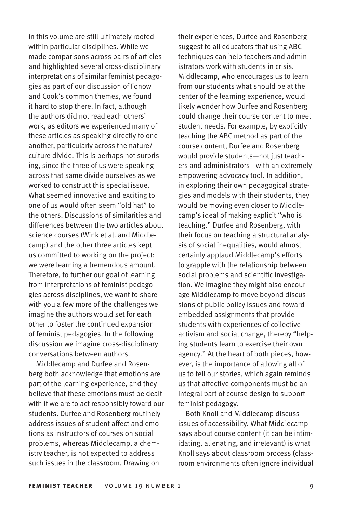in this volume are still ultimately rooted within particular disciplines. While we made comparisons across pairs of articles and highlighted several cross-disciplinary interpretations of similar feminist pedagogies as part of our discussion of Fonow and Cook's common themes, we found it hard to stop there. In fact, although the authors did not read each others' work, as editors we experienced many of these articles as speaking directly to one another, particularly across the nature/ culture divide. This is perhaps not surprising, since the three of us were speaking across that same divide ourselves as we worked to construct this special issue. What seemed innovative and exciting to one of us would often seem "old hat" to the others. Discussions of similarities and differences between the two articles about science courses (Wink et al. and Middlecamp) and the other three articles kept us committed to working on the project: we were learning a tremendous amount. Therefore, to further our goal of learning from interpretations of feminist pedagogies across disciplines, we want to share with you a few more of the challenges we imagine the authors would set for each other to foster the continued expansion of feminist pedagogies. In the following discussion we imagine cross-disciplinary conversations between authors.

Middlecamp and Durfee and Rosenberg both acknowledge that emotions are part of the learning experience, and they believe that these emotions must be dealt with if we are to act responsibly toward our students. Durfee and Rosenberg routinely address issues of student affect and emotions as instructors of courses on social problems, whereas Middlecamp, a chemistry teacher, is not expected to address such issues in the classroom. Drawing on

their experiences, Durfee and Rosenberg suggest to all educators that using ABC techniques can help teachers and administrators work with students in crisis. Middlecamp, who encourages us to learn from our students what should be at the center of the learning experience, would likely wonder how Durfee and Rosenberg could change their course content to meet student needs. For example, by explicitly teaching the ABC method as part of the course content, Durfee and Rosenberg would provide students—not just teachers and administrators—with an extremely empowering advocacy tool. In addition, in exploring their own pedagogical strategies and models with their students, they would be moving even closer to Middlecamp's ideal of making explicit "who is teaching." Durfee and Rosenberg, with their focus on teaching a structural analysis of social inequalities, would almost certainly applaud Middlecamp's efforts to grapple with the relationship between social problems and scientific investigation. We imagine they might also encourage Middlecamp to move beyond discussions of public policy issues and toward embedded assignments that provide students with experiences of collective activism and social change, thereby "helping students learn to exercise their own agency." At the heart of both pieces, however, is the importance of allowing all of us to tell our stories, which again reminds us that affective components must be an integral part of course design to support feminist pedagogy.

Both Knoll and Middlecamp discuss issues of accessibility. What Middlecamp says about course content (it can be intimidating, alienating, and irrelevant) is what Knoll says about classroom process (classroom environments often ignore individual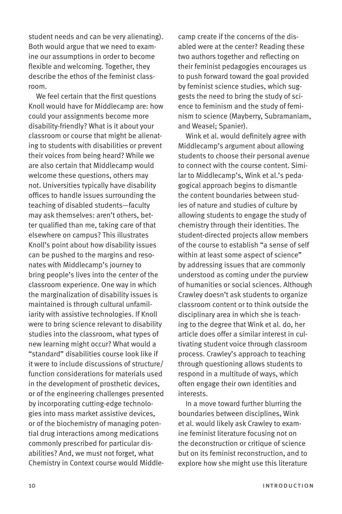student needs and can be very alienating). Both would argue that we need to examine our assumptions in order to become flexible and welcoming. Together, they describe the ethos of the feminist classroom.

We feel certain that the first questions Knoll would have for Middlecamp are: how could your assignments become more disability-friendly? What is it about your classroom or course that might be alienating to students with disabilities or prevent their voices from being heard? While we are also certain that Middlecamp would welcome these questions, others may not. Universities typically have disability offices to handle issues surrounding the teaching of disabled students—faculty may ask themselves: aren't others, better qualified than me, taking care of that elsewhere on campus? This illustrates Knoll's point about how disability issues can be pushed to the margins and resonates with Middlecamp's journey to bring people's lives into the center of the classroom experience. One way in which the marginalization of disability issues is maintained is through cultural unfamiliarity with assistive technologies. If Knoll were to bring science relevant to disability studies into the classroom, what types of new learning might occur? What would a "standard" disabilities course look like if it were to include discussions of structure/ function considerations for materials used in the development of prosthetic devices, or of the engineering challenges presented by incorporating cutting-edge technologies into mass market assistive devices, or of the biochemistry of managing potential drug interactions among medications commonly prescribed for particular disabilities? And, we must not forget, what Chemistry in Context course would Middlecamp create if the concerns of the disabled were at the center? Reading these two authors together and reflecting on their feminist pedagogies encourages us to push forward toward the goal provided by feminist science studies, which suggests the need to bring the study of science to feminism and the study of feminism to science (Mayberry, Subramaniam, and Weasel; Spanier).

Wink et al. would definitely agree with Middlecamp's argument about allowing students to choose their personal avenue to connect with the course content. Similar to Middlecamp's, Wink et al.'s pedagogical approach begins to dismantle the content boundaries between studies of nature and studies of culture by allowing students to engage the study of chemistry through their identities. The student-directed projects allow members of the course to establish "a sense of self within at least some aspect of science" by addressing issues that are commonly understood as coming under the purview of humanities or social sciences. Although Crawley doesn't ask students to organize classroom content or to think outside the disciplinary area in which she is teaching to the degree that Wink et al. do, her article does offer a similar interest in cultivating student voice through classroom process. Crawley's approach to teaching through questioning allows students to respond in a multitude of ways, which often engage their own identities and interests.

In a move toward further blurring the boundaries between disciplines, Wink et al. would likely ask Crawley to examine feminist literature focusing not on the deconstruction or critique of science but on its feminist reconstruction, and to explore how she might use this literature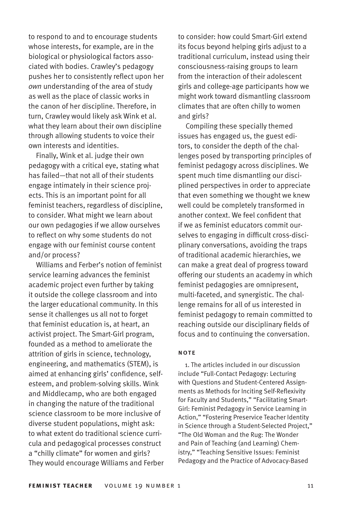to respond to and to encourage students whose interests, for example, are in the biological or physiological factors associated with bodies. Crawley's pedagogy pushes her to consistently reflect upon her *own* understanding of the area of study as well as the place of classic works in the canon of her discipline. Therefore, in turn, Crawley would likely ask Wink et al. what they learn about their own discipline through allowing students to voice their own interests and identities.

Finally, Wink et al. judge their own pedagogy with a critical eye, stating what has failed—that not all of their students engage intimately in their science projects. This is an important point for all feminist teachers, regardless of discipline, to consider. What might we learn about our own pedagogies if we allow ourselves to reflect on why some students do not engage with our feminist course content and/or process?

Williams and Ferber's notion of feminist service learning advances the feminist academic project even further by taking it outside the college classroom and into the larger educational community. In this sense it challenges us all not to forget that feminist education is, at heart, an activist project. The Smart-Girl program, founded as a method to ameliorate the attrition of girls in science, technology, engineering, and mathematics (STEM), is aimed at enhancing girls' confidence, selfesteem, and problem-solving skills. Wink and Middlecamp, who are both engaged in changing the nature of the traditional science classroom to be more inclusive of diverse student populations, might ask: to what extent do traditional science curricula and pedagogical processes construct a "chilly climate" for women and girls? They would encourage Williams and Ferber to consider: how could Smart-Girl extend its focus beyond helping girls adjust to a traditional curriculum, instead using their consciousness-raising groups to learn from the interaction of their adolescent girls and college-age participants how we might work toward dismantling classroom climates that are often chilly to women and girls?

Compiling these specially themed issues has engaged us, the guest editors, to consider the depth of the challenges posed by transporting principles of feminist pedagogy across disciplines. We spent much time dismantling our disciplined perspectives in order to appreciate that even something we thought we knew well could be completely transformed in another context. We feel confident that if we as feminist educators commit ourselves to engaging in difficult cross-disciplinary conversations, avoiding the traps of traditional academic hierarchies, we can make a great deal of progress toward offering our students an academy in which feminist pedagogies are omnipresent, multi-faceted, and synergistic. The challenge remains for all of us interested in feminist pedagogy to remain committed to reaching outside our disciplinary fields of focus and to continuing the conversation.

#### **NOTE**

1. The articles included in our discussion include "Full-Contact Pedagogy: Lecturing with Questions and Student-Centered Assignments as Methods for Inciting Self-Reflexivity for Faculty and Students," "Facilitating Smart-Girl: Feminist Pedagogy in Service Learning in Action," "Fostering Preservice Teacher Identity in Science through a Student-Selected Project," "The Old Woman and the Rug: The Wonder and Pain of Teaching (and Learning) Chemistry," "Teaching Sensitive Issues: Feminist Pedagogy and the Practice of Advocacy-Based